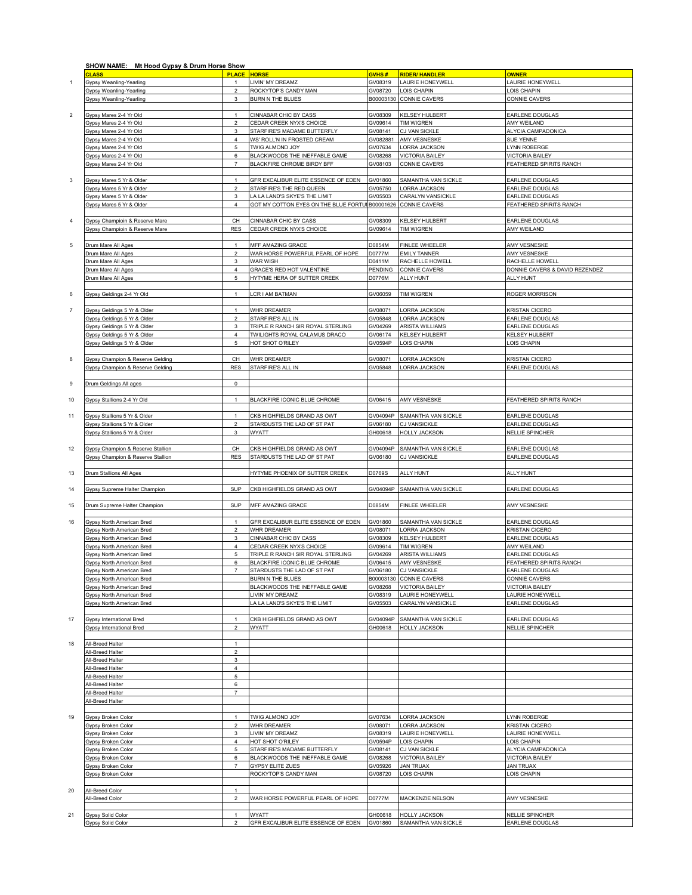|                | SHOW NAME: Mt Hood Gypsy & Drum Horse Show |                         |                                                 |           |                         |                                |
|----------------|--------------------------------------------|-------------------------|-------------------------------------------------|-----------|-------------------------|--------------------------------|
|                | <b>CLASS</b>                               | <b>PLACE</b>            | <b>HORSE</b>                                    | GVHS#     | <b>RIDER/ HANDLER</b>   | <b>OWNER</b>                   |
| $\mathbf{1}$   | Gypsy Weanling-Yearling                    |                         | LIVIN' MY DREAMZ                                | GV08319   | <b>AURIE HONEYWELL</b>  | AURIE HONEYWELL                |
|                | Gypsy Weanling-Yearling                    | $\overline{\mathbf{c}}$ | ROCKYTOP'S CANDY MAN                            | GV08720   | OIS CHAPIN              | LOIS CHAPIN                    |
|                |                                            |                         |                                                 |           |                         |                                |
|                | <b>Sypsy Weanling-Yearling</b>             | 3                       | <b>BURN N THE BLUES</b>                         | B00003130 | CONNIE CAVERS           | CONNIE CAVERS                  |
|                |                                            |                         |                                                 |           |                         |                                |
| $\overline{c}$ | Gypsy Mares 2-4 Yr Old                     | $\mathbf{1}$            | CINNABAR CHIC BY CASS                           | GV08309   | <b>KELSEY HULBERT</b>   | EARLENE DOUGLAS                |
|                | Gypsy Mares 2-4 Yr Old                     | $\overline{a}$          | CEDAR CREEK NYX'S CHOICE                        | GV09614   | TIM WIGREN              | AMY WEILAND                    |
|                |                                            |                         |                                                 |           | CJ VAN SICKLE           |                                |
|                | Gypsy Mares 2-4 Yr Old                     | 3                       | STARFIRE'S MADAME BUTTERFLY                     | GV08141   |                         | ALYCIA CAMPADONICA             |
|                | Gypsy Mares 2-4 Yr Old                     | $\pmb{4}$               | WS' ROLL'N IN FROSTED CREAM                     | GV082881  | AMY VESNESKE            | SUE YENNE                      |
|                | Gypsy Mares 2-4 Yr Old                     | $\mathbf 5$             | TWIG ALMOND JOY                                 | GV07634   | ORRA JACKSON            | YNN ROBERGE                    |
|                | Gypsy Mares 2-4 Yr Old                     | 6                       | BLACKWOODS THE INEFFABLE GAME                   | GV08268   | <b>/ICTORIA BAILEY</b>  | <b>VICTORIA BAILEY</b>         |
|                | Gypsy Mares 2-4 Yr Old                     | $\overline{7}$          | BLACKFIRE CHROME BIRDY BFF                      | GV08103   | CONNIE CAVERS           | FEATHERED SPIRITS RANCH        |
|                |                                            |                         |                                                 |           |                         |                                |
|                |                                            |                         |                                                 |           |                         |                                |
| $\mathbf 3$    | Gypsy Mares 5 Yr & Older                   | $\mathbf{1}$            | GFR EXCALIBUR ELITE ESSENCE OF EDEN             | GV01860   | SAMANTHA VAN SICKLE     | EARLENE DOUGLAS                |
|                | Gypsy Mares 5 Yr & Older                   | $\overline{\mathbf{c}}$ | STARFIRE'S THE RED QUEEN                        | GV05750   | ORRA JACKSON            | EARLENE DOUGLAS                |
|                | <b>Gypsy Mares 5 Yr &amp; Older</b>        | 3                       | LA LA LAND'S SKYE'S THE LIMIT                   | GV05503   | CARALYN VANSICKLE       | EARLENE DOUGLAS                |
|                | Gypsy Mares 5 Yr & Older                   |                         |                                                 |           | CONNIE CAVERS           |                                |
|                |                                            | 4                       | GOT MY COTTON EYES ON THE BLUE FORTUI B00001626 |           |                         | FEATHERED SPIRITS RANCH        |
|                |                                            |                         |                                                 |           |                         |                                |
| $\overline{4}$ | Gypsy Champioin & Reserve Mare             | CH                      | CINNABAR CHIC BY CASS                           | GV08309   | KELSEY HULBERT          | EARLENE DOUGLAS                |
|                | Gypsy Champioin & Reserve Mare             | <b>RES</b>              | CEDAR CREEK NYX'S CHOICE                        | GV09614   | <b>TIM WIGREN</b>       | AMY WEILAND                    |
|                |                                            |                         |                                                 |           |                         |                                |
|                |                                            |                         |                                                 |           |                         |                                |
| 5              | Drum Mare All Ages                         | $\mathbf{1}$            | MFF AMAZING GRACE                               | D0854M    | <b>FINLEE WHEELER</b>   | <b>AMY VESNESKE</b>            |
|                | Drum Mare All Ages                         | $\overline{\mathbf{c}}$ | WAR HORSE POWERFUL PEARL OF HOPE                | D0777M    | <b>EMILY TANNER</b>     | AMY VESNESKE                   |
|                | Drum Mare All Ages                         | $\mathbf 3$             | WAR WISH                                        | D0411M    | RACHELLE HOWELL         | RACHELLE HOWELL                |
|                | Drum Mare All Ages                         | $\pmb{4}$               | GRACE'S RED HOT VALENTINE                       | PENDING   | CONNIE CAVERS           | DONNIE CAVERS & DAVID REZENDEZ |
|                | Drum Mare All Ages                         | 5                       | HYTYME HERA OF SUTTER CREEK                     | D0776M    |                         | ALLY HUNT                      |
|                |                                            |                         |                                                 |           | ALLY HUNT               |                                |
|                |                                            |                         |                                                 |           |                         |                                |
| 6              | Gypsy Geldings 2-4 Yr Old                  | $\overline{1}$          | CR I AM BATMAN                                  | GV06059   | TIM WIGREN              | ROGER MORRISON                 |
|                |                                            |                         |                                                 |           |                         |                                |
| $\overline{7}$ | Gypsy Geldings 5 Yr & Older                | $\mathbf{1}$            | WHR DREAMER                                     | GV08071   | ORRA JACKSON            | <b>KRISTAN CICERO</b>          |
|                |                                            |                         |                                                 |           |                         |                                |
|                | <b>Gypsy Geldings 5 Yr &amp; Older</b>     | $\overline{2}$          | STARFIRE'S ALL IN                               | GV05848   | ORRA JACKSON            | EARLENE DOUGLAS                |
|                | Gypsy Geldings 5 Yr & Older                | 3                       | TRIPLE R RANCH SIR ROYAL STERLING               | GV04269   | <b>ARISTA WILLIAMS</b>  | EARLENE DOUGLAS                |
|                | Gypsy Geldings 5 Yr & Older                | 4                       | TWILIGHTS ROYAL CALAMUS DRACO                   | GV06174   | <b>KELSEY HULBERT</b>   | KELSEY HULBERT                 |
|                | Gypsy Geldings 5 Yr & Older                | 5                       | HOT SHOT O'RILEY                                | GV0594P   | OIS CHAPIN              | LOIS CHAPIN                    |
|                |                                            |                         |                                                 |           |                         |                                |
|                |                                            |                         |                                                 |           |                         |                                |
| 8              | Gypsy Champion & Reserve Gelding           | CH                      | WHR DREAMER                                     | GV08071   | ORRA JACKSON            | <b>KRISTAN CICERO</b>          |
|                | Gypsy Champion & Reserve Gelding           | <b>RES</b>              | STARFIRE'S ALL IN                               | GV05848   | <b>ORRA JACKSON</b>     | EARLENE DOUGLAS                |
|                |                                            |                         |                                                 |           |                         |                                |
| 9              | Drum Geldings All ages                     | $\mathbf 0$             |                                                 |           |                         |                                |
|                |                                            |                         |                                                 |           |                         |                                |
|                |                                            |                         |                                                 |           |                         |                                |
|                | Gypsy Stallions 2-4 Yr Old                 | $\mathbf{1}$            | BLACKFIRE ICONIC BLUE CHROME                    | GV06415   | <b>AMY VESNESKE</b>     | FEATHERED SPIRITS RANCH        |
| 10             |                                            |                         |                                                 |           |                         |                                |
|                |                                            |                         |                                                 |           | SAMANTHA VAN SICKLE     | EARLENE DOUGLAS                |
|                |                                            | $\overline{1}$          |                                                 |           |                         |                                |
| 11             | Gypsy Stallions 5 Yr & Older               |                         | CKB HIGHFIELDS GRAND AS OWT                     | GV04094P  |                         |                                |
|                | Gypsy Stallions 5 Yr & Older               | $\boldsymbol{2}$        | STARDUSTS THE LAD OF ST PAT                     | GV06180   | <b>CJ VANSICKLE</b>     | EARLENE DOUGLAS                |
|                | Gypsy Stallions 5 Yr & Older               | 3                       | <b>WYATT</b>                                    | GH00618   | HOLLY JACKSON           | <b>NELLIE SPINCHER</b>         |
|                |                                            |                         |                                                 |           |                         |                                |
| 12             | Gypsy Champion & Reserve Stallion          | CH                      | CKB HIGHFIELDS GRAND AS OWT                     | GV04094P  | SAMANTHA VAN SICKLE     | EARLENE DOUGLAS                |
|                | Gypsy Champion & Reserve Stallion          | <b>RES</b>              | STARDUSTS THE LAD OF ST PAT                     | GV06180   | CJ VANSICKLE            | EARLENE DOUGLAS                |
|                |                                            |                         |                                                 |           |                         |                                |
|                |                                            |                         |                                                 |           |                         |                                |
| 13             | Drum Stallions All Ages                    |                         | HYTYME PHOENIX OF SUTTER CREEK                  | D0769S    | ALLY HUNT               | ALLY HUNT                      |
|                |                                            |                         |                                                 |           |                         |                                |
| 14             | Gypsy Supreme Halter Champion              | SUP                     | CKB HIGHFIELDS GRAND AS OWT                     | GV04094P  | SAMANTHA VAN SICKLE     | EARLENE DOUGLAS                |
|                |                                            |                         |                                                 |           |                         |                                |
| 15             | Drum Supreme Halter Champion               | SUP                     | MFF AMAZING GRACE                               | D0854M    | FINLEE WHEELER          | AMY VESNESKE                   |
|                |                                            |                         |                                                 |           |                         |                                |
|                |                                            |                         |                                                 |           |                         |                                |
| 16             | Gypsy North American Bred                  | $\mathbf{1}$            | GFR EXCALIBUR ELITE ESSENCE OF EDEN             | GV01860   | SAMANTHA VAN SICKLE     | EARLENE DOUGLAS                |
|                | Gypsy North American Bred                  | $\overline{c}$          | WHR DREAMER                                     | GV08071   | <b>ORRA JACKSON</b>     | <b>KRISTAN CICERO</b>          |
|                | Gypsy North American Bred                  | 3                       | CINNABAR CHIC BY CASS                           | GV08309   | <b>KELSEY HULBERT</b>   | EARLENE DOUGLAS                |
|                | <b>Sypsy North American Bred</b>           | 4                       | CEDAR CREEK NYX'S CHOICE                        | GV09614   | <b>TIM WIGREN</b>       | AMY WEILAND                    |
|                | <b>Gypsy North American Bred</b>           | 5                       | TRIPLE R RANCH SIR ROYAL STERLING               | GV04269   | ARISTA WILLIAMS         | EARLENE DOUGLAS                |
|                |                                            |                         |                                                 |           |                         |                                |
|                | <b>Gypsy North American Bred</b>           | 6                       | BLACKFIRE ICONIC BLUE CHROME                    | GV06415   | AMY VESNESKE            | FEATHERED SPIRITS RANCH        |
|                | ypsy North American Bredز                  |                         | STARDUSTS THE LAD OF ST PAT                     | GV06180   | <b>CJ VANSICKLE</b>     | EARLENE DOUGLA                 |
|                | Gypsy North American Bred                  |                         | BURN N THE BLUES                                |           | B00003130 CONNIE CAVERS | CONNIE CAVERS                  |
|                | <b>Gypsy North American Bred</b>           |                         | BLACKWOODS THE INEFFABLE GAME                   | GV08268   | <b>VICTORIA BAILEY</b>  | <b>VICTORIA BAILEY</b>         |
|                |                                            |                         | IVIN' MY DREAMZ                                 |           |                         |                                |
|                | Gypsy North American Bred                  |                         |                                                 | GV08319   | LAURIE HONEYWELL        | LAURIE HONEYWELL               |
|                | Gypsy North American Bred                  |                         | A LA LAND'S SKYE'S THE LIMIT                    | GV05503   | CARALYN VANSICKLE       | EARLENE DOUGLAS                |
|                |                                            |                         |                                                 |           |                         |                                |
| 17             | Gypsy International Bred                   | $\mathbf{1}$            | CKB HIGHFIELDS GRAND AS OWT                     | GV04094P  | SAMANTHA VAN SICKLE     | EARLENE DOUGLAS                |
|                | Gypsy International Bred                   | $\overline{a}$          | <b>WYATT</b>                                    | GH00618   | <b>HOLLY JACKSON</b>    | <b>NELLIE SPINCHER</b>         |
|                |                                            |                         |                                                 |           |                         |                                |
|                |                                            | $\mathbf{1}$            |                                                 |           |                         |                                |
| 18             | All-Breed Halter                           |                         |                                                 |           |                         |                                |
|                | All-Breed Halter                           | $\overline{c}$          |                                                 |           |                         |                                |
|                | <b>NI-Breed Halter</b>                     | 3                       |                                                 |           |                         |                                |
|                | <b>Ill-Breed Halter</b>                    | $\pmb{4}$               |                                                 |           |                         |                                |
|                | <b>Ill-Breed Halter</b>                    | 5                       |                                                 |           |                         |                                |
|                | <b>All-Breed Halter</b>                    | 6                       |                                                 |           |                         |                                |
|                |                                            |                         |                                                 |           |                         |                                |
|                | All-Breed Halter                           | $\overline{7}$          |                                                 |           |                         |                                |
|                | All-Breed Halter                           |                         |                                                 |           |                         |                                |
|                |                                            |                         |                                                 |           |                         |                                |
| 19             | Gypsy Broken Color                         | $\mathbf{1}$            | TWIG ALMOND JOY                                 | GV07634   | ORRA JACKSON            | YNN ROBERGE                    |
|                | Gypsy Broken Color                         | $\overline{2}$          | WHR DREAMER                                     | GV08071   | ORRA JACKSON            | <b>KRISTAN CICERO</b>          |
|                |                                            |                         |                                                 |           |                         |                                |
|                | Gypsy Broken Color                         | 3                       | LIVIN' MY DREAMZ                                | GV08319   | AURIE HONEYWELL         | LAURIE HONEYWELL               |
|                | Gypsy Broken Color                         | 4                       | HOT SHOT O'RILEY                                | GV0594P   | OIS CHAPIN              | LOIS CHAPIN                    |
|                | Gypsy Broken Color                         | 5                       | STARFIRE'S MADAME BUTTERFLY                     | GV08141   | CJ VAN SICKLE           | ALYCIA CAMPADONICA             |
|                | Gypsy Broken Color                         | 6                       | BLACKWOODS THE INEFFABLE GAME                   | GV08268   | <b>VICTORIA BAILEY</b>  | <b>VICTORIA BAILEY</b>         |
|                | Gypsy Broken Color                         | $\overline{7}$          | <b>GYPSY ELITE ZUES</b>                         | GV05926   | <b>JAN TRUAX</b>        | <b>JAN TRUAX</b>               |
|                |                                            |                         |                                                 |           |                         |                                |
|                | Gypsy Broken Color                         |                         | ROCKYTOP'S CANDY MAN                            | GV08720   | OIS CHAPIN              | LOIS CHAPIN                    |
|                |                                            |                         |                                                 |           |                         |                                |
| 20             | All-Breed Color                            | $\overline{1}$          |                                                 |           |                         |                                |
|                | All-Breed Color                            | $\mathbf 2$             | WAR HORSE POWERFUL PEARL OF HOPE                | D0777M    | MACKENZIE NELSON        | AMY VESNESKE                   |
|                |                                            |                         |                                                 |           |                         |                                |
| 21             | <b>Gypsy Solid Color</b>                   | $\mathbf{1}$            | WYATT                                           | GH00618   | HOLLY JACKSON           | <b>NELLIE SPINCHER</b>         |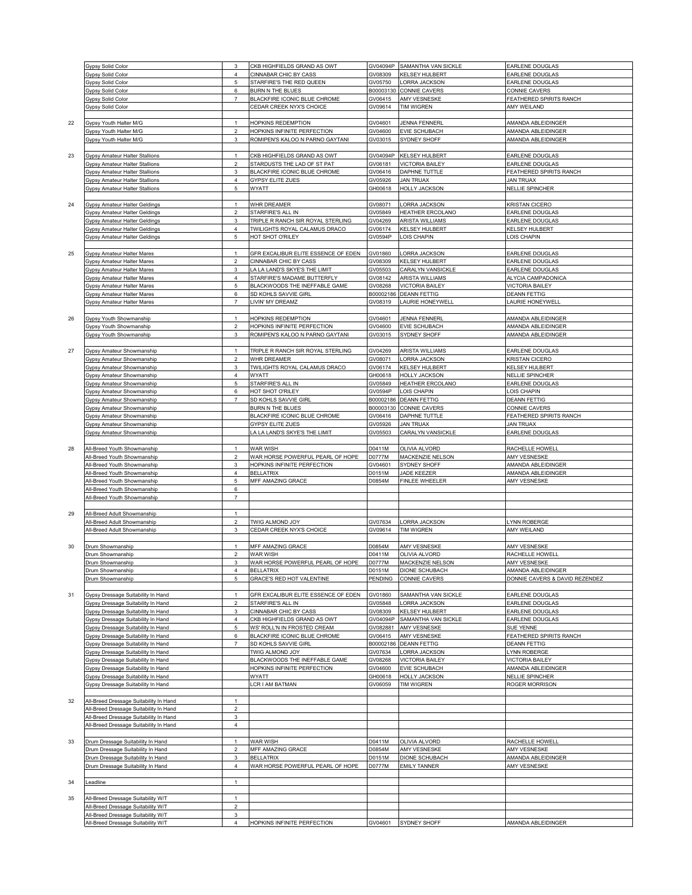|    | <b>Gypsy Solid Color</b>                                                 | 3                       | CKB HIGHFIELDS GRAND AS OWT         | GV04094P  | SAMANTHA VAN SICKLE     | EARLENE DOUGLAS                |
|----|--------------------------------------------------------------------------|-------------------------|-------------------------------------|-----------|-------------------------|--------------------------------|
|    | <b>Gypsy Solid Color</b>                                                 | $\overline{4}$          | CINNABAR CHIC BY CASS               | GV08309   | KELSEY HULBERT          | EARLENE DOUGLAS                |
|    |                                                                          |                         |                                     |           |                         |                                |
|    | <b>Gypsy Solid Color</b>                                                 | 5                       | STARFIRE'S THE RED QUEEN            | GV05750   | ORRA JACKSON            | EARLENE DOUGLAS                |
|    | Gypsy Solid Color                                                        | $\,6$                   | <b>BURN N THE BLUES</b>             |           | B00003130 CONNIE CAVERS | CONNIE CAVERS                  |
|    | Gypsy Solid Color                                                        | $\overline{7}$          | BLACKFIRE ICONIC BLUE CHROME        | GV06415   | AMY VESNESKE            | FEATHERED SPIRITS RANCH        |
|    |                                                                          |                         |                                     |           |                         |                                |
|    | Gypsy Solid Color                                                        |                         | CEDAR CREEK NYX'S CHOICE            | GV09614   | TIM WIGREN              | AMY WEILAND                    |
|    |                                                                          |                         |                                     |           |                         |                                |
| 22 | Gypsy Youth Halter M/G                                                   | $\overline{1}$          | HOPKINS REDEMPTION                  | GV04601   | <b>JENNA FENNERL</b>    | AMANDA ABLEIDINGER             |
|    |                                                                          | $\overline{\mathbf{c}}$ | HOPKINS INFINITE PERFECTION         | GV04600   | EVIE SCHUBACH           | AMANDA ABLEIDINGER             |
|    | Gypsy Youth Halter M/G                                                   |                         |                                     |           |                         |                                |
|    | Gypsy Youth Halter M/G                                                   | 3                       | ROMIPEN'S KALOO N PARNO GAYTANI     | GV03015   | SYDNEY SHOFF            | AMANDA ABLEIDINGER             |
|    |                                                                          |                         |                                     |           |                         |                                |
|    |                                                                          |                         |                                     |           |                         |                                |
| 23 | <b>Gypsy Amateur Halter Stallions</b>                                    | $\mathbf{1}$            | CKB HIGHFIELDS GRAND AS OWT         | GV04094P  | <b>KELSEY HULBERT</b>   | EARLENE DOUGLAS                |
|    | Gypsy Amateur Halter Stallions                                           | $\overline{a}$          | STARDUSTS THE LAD OF ST PAT         | GV06181   | <b>VICTORIA BAILEY</b>  | EARLENE DOUGLAS                |
|    | Gypsy Amateur Halter Stallions                                           | 3                       | BLACKFIRE ICONIC BLUE CHROME        | GV06416   | DAPHNE TUTTLE           | FEATHERED SPIRITS RANCH        |
|    | Gypsy Amateur Halter Stallions                                           | $\overline{4}$          | <b>GYPSY ELITE ZUES</b>             | GV05926   | <b>JAN TRUAX</b>        | <b>JAN TRUAX</b>               |
|    |                                                                          |                         |                                     |           |                         |                                |
|    | Gypsy Amateur Halter Stallions                                           | 5                       | <b>WYATT</b>                        | GH00618   | HOLLY JACKSON           | <b>NELLIE SPINCHER</b>         |
|    |                                                                          |                         |                                     |           |                         |                                |
|    | <b>Gypsy Amateur Halter Geldings</b>                                     | $\overline{1}$          |                                     | GV08071   | ORRA JACKSON            |                                |
| 24 |                                                                          |                         | WHR DREAMER                         |           |                         | KRISTAN CICERO                 |
|    | Gypsy Amateur Halter Geldings                                            | $\overline{\mathbf{c}}$ | STARFIRE'S ALL IN                   | GV05849   | HEATHER ERCOLANO        | EARLENE DOUGLAS                |
|    | Gypsy Amateur Halter Geldings                                            | 3                       | TRIPLE R RANCH SIR ROYAL STERLING   | GV04269   | ARISTA WILLIAMS         | EARLENE DOUGLAS                |
|    | Gypsy Amateur Halter Geldings                                            | 4                       | TWILIGHTS ROYAL CALAMUS DRACO       | GV06174   | KELSEY HULBERT          | KELSEY HULBERT                 |
|    |                                                                          |                         |                                     |           |                         |                                |
|    | Gypsy Amateur Halter Geldings                                            | 5                       | HOT SHOT O'RILEY                    | GV0594P   | OIS CHAPIN              | <b>OIS CHAPIN</b>              |
|    |                                                                          |                         |                                     |           |                         |                                |
| 25 |                                                                          | $\overline{1}$          | GFR EXCALIBUR ELITE ESSENCE OF EDEN | GV01860   | ORRA JACKSON            | EARLENE DOUGLAS                |
|    | Gypsy Amateur Halter Mares                                               |                         |                                     |           |                         |                                |
|    | Gypsy Amateur Halter Mares                                               | $\overline{2}$          | CINNABAR CHIC BY CASS               | GV08309   | <b>KELSEY HULBERT</b>   | EARLENE DOUGLAS                |
|    | Gypsy Amateur Halter Mares                                               | 3                       | LA LA LAND'S SKYE'S THE LIMIT       | GV05503   | CARALYN VANSICKLE       | EARLENE DOUGLAS                |
|    |                                                                          |                         |                                     | GV08142   | ARISTA WILLIAMS         |                                |
|    | Gypsy Amateur Halter Mares                                               | $\overline{4}$          | STARFIRE'S MADAME BUTTERFLY         |           |                         | ALYCIA CAMPADONICA             |
|    | Gypsy Amateur Halter Mares                                               | 5                       | BLACKWOODS THE INEFFABLE GAME       | GV08268   | <b>VICTORIA BAILEY</b>  | <b>VICTORIA BAILEY</b>         |
|    | Gypsy Amateur Halter Mares                                               | $\,6$                   | SD KOHLS SAVVIE GIRL                | B00002186 | <b>DEANN FETTIG</b>     | <b>DEANN FETTIG</b>            |
|    |                                                                          | $\overline{7}$          | LIVIN' MY DREAMZ                    | GV08319   | AURIE HONEYWELL         | LAURIE HONEYWELL               |
|    | Gypsy Amateur Halter Mares                                               |                         |                                     |           |                         |                                |
|    |                                                                          |                         |                                     |           |                         |                                |
| 26 | Gypsy Youth Showmanship                                                  | $\mathbf{1}$            | HOPKINS REDEMPTION                  | GV04601   | <b>JENNA FENNERL</b>    | AMANDA ABLEIDINGER             |
|    |                                                                          | $\overline{2}$          |                                     |           |                         |                                |
|    | Gypsy Youth Showmanship                                                  |                         | HOPKINS INFINITE PERFECTION         | GV04600   | EVIE SCHUBACH           | AMANDA ABLEIDINGER             |
|    | Gypsy Youth Showmanship                                                  | 3                       | ROMIPEN'S KALOO N PARNO GAYTANI     | GV03015   | SYDNEY SHOFF            | AMANDA ABLEIDINGER             |
|    |                                                                          |                         |                                     |           |                         |                                |
|    |                                                                          |                         |                                     |           |                         |                                |
| 27 | Gypsy Amateur Showmanship                                                | $\mathbf{1}$            | TRIPLE R RANCH SIR ROYAL STERLING   | GV04269   | ARISTA WILLIAMS         | EARLENE DOUGLAS                |
|    | Gypsy Amateur Showmanship                                                | $\overline{a}$          | WHR DREAMER                         | GV08071   | ORRA JACKSON            | KRISTAN CICERO                 |
|    | Gypsy Amateur Showmanship                                                | 3                       | TWILIGHTS ROYAL CALAMUS DRACO       | GV06174   | KELSEY HULBERT          | KELSEY HULBERT                 |
|    |                                                                          |                         |                                     |           |                         |                                |
|    | Gypsy Amateur Showmanship                                                | $\sqrt{4}$              | <b>WYATT</b>                        | GH00618   | HOLLY JACKSON           | NELLIE SPINCHER                |
|    | Gypsy Amateur Showmanship                                                | 5                       | STARFIRE'S ALL IN                   | GV05849   | HEATHER ERCOLANO        | EARLENE DOUGLAS                |
|    | Gypsy Amateur Showmanship                                                | 6                       | HOT SHOT O'RILEY                    | GV0594P   | OIS CHAPIN              | LOIS CHAPIN                    |
|    |                                                                          |                         |                                     |           |                         |                                |
|    | Gypsy Amateur Showmanship                                                | $\overline{7}$          | SD KOHLS SAVVIE GIRL                | B00002186 | <b>DEANN FETTIG</b>     | <b>DEANN FETTIG</b>            |
|    | Gypsy Amateur Showmanship                                                |                         | BURN N THE BLUES                    | B00003130 | CONNIE CAVERS           | CONNIE CAVERS                  |
|    | Gypsy Amateur Showmanship                                                |                         | BLACKFIRE ICONIC BLUE CHROME        | GV06416   | DAPHNE TUTTLE           | FEATHERED SPIRITS RANCH        |
|    |                                                                          |                         |                                     |           |                         |                                |
|    | <b>Gypsy Amateur Showmanship</b>                                         |                         | <b>GYPSY ELITE ZUES</b>             | GV05926   | <b>JAN TRUAX</b>        | <b>JAN TRUAX</b>               |
|    | Gypsy Amateur Showmanship                                                |                         | A LA LAND'S SKYE'S THE LIMIT        | GV05503   | CARALYN VANSICKLE       | EARLENE DOUGLAS                |
|    |                                                                          |                         |                                     |           |                         |                                |
|    |                                                                          |                         |                                     | D0411M    | OLIVIA ALVORD           | RACHELLE HOWELL                |
|    |                                                                          |                         |                                     |           |                         |                                |
| 28 | All-Breed Youth Showmanship                                              | $\overline{1}$          | WAR WISH                            |           |                         |                                |
|    | <b>All-Breed Youth Showmanship</b>                                       | $\mathbf 2$             | WAR HORSE POWERFUL PEARL OF HOPE    | D0777M    | MACKENZIE NELSON        | AMY VESNESKE                   |
|    |                                                                          |                         |                                     |           |                         |                                |
|    | <b>All-Breed Youth Showmanship</b>                                       | $\mathsf 3$             | HOPKINS INFINITE PERFECTION         | GV04601   | SYDNEY SHOFF            | AMANDA ABLEIDINGER             |
|    | <b>All-Breed Youth Showmanship</b>                                       | $\pmb{4}$               | <b>BELLATRIX</b>                    | D0151M    | JADE KEEZER             | AMANDA ABLEIDINGER             |
|    | All-Breed Youth Showmanship                                              | 5                       | MFF AMAZING GRACE                   | D0854M    | FINLEE WHEELER          | AMY VESNESKE                   |
|    |                                                                          |                         |                                     |           |                         |                                |
|    | All-Breed Youth Showmanship                                              | 6                       |                                     |           |                         |                                |
|    | All-Breed Youth Showmanship                                              | $\boldsymbol{7}$        |                                     |           |                         |                                |
|    |                                                                          |                         |                                     |           |                         |                                |
|    |                                                                          |                         |                                     |           |                         |                                |
| 29 | All-Breed Adult Showmanship                                              | $\mathbf{1}$            |                                     |           |                         |                                |
|    | All-Breed Adult Showmanship                                              | $\overline{a}$          | TWIG ALMOND JOY                     | GV07634   | ORRA JACKSON            | YNN ROBERGE                    |
|    | All-Breed Adult Showmanship                                              | 3                       | CEDAR CREEK NYX'S CHOICE            | GV09614   | <b>TIM WIGREN</b>       | AMY WEILAND                    |
|    |                                                                          |                         |                                     |           |                         |                                |
|    |                                                                          |                         |                                     |           |                         |                                |
| 30 | Drum Showmanship                                                         | $\mathbf{1}$            | MFF AMAZING GRACE                   | D0854M    | AMY VESNESKE            | AMY VESNESKE                   |
|    | Drum Showmanship                                                         | $\overline{\mathbf{c}}$ | WAR WISH                            | D0411M    | OLIVIA ALVORD           | RACHELLE HOWELL                |
|    |                                                                          |                         |                                     |           |                         |                                |
|    | Drum Showmanship                                                         | 3                       | WAR HORSE POWERFUL PEARL OF HOPE    | D0777M    | MACKENZIE NELSON        | AMY VESNESKE                   |
|    | Drum Showmanship                                                         | 4                       | <b>BELLATRIX</b>                    | D0151M    | <b>DIONE SCHUBACH</b>   | AMANDA ABLEIDINGER             |
|    | Drum Showmanship                                                         | 5                       | GRACE'S RED HOT VALENTINE           | PENDING   | <b>CONNIE CAVERS</b>    | DONNIE CAVERS & DAVID REZENDEZ |
|    |                                                                          |                         |                                     |           |                         |                                |
|    |                                                                          |                         |                                     |           |                         |                                |
| 31 | Gypsy Dressage Suitability In Hand                                       | $\mathbf{1}$            | GFR EXCALIBUR ELITE ESSENCE OF EDEN | GV01860   | SAMANTHA VAN SICKLE     | EARLENE DOUGLAS                |
|    | Gypsy Dressage Suitability In Hand                                       | $\overline{a}$          | STARFIRE'S ALL IN                   | GV05848   | <b>LORRA JACKSON</b>    | EARLENE DOUGLAS                |
|    | Gypsy Dressage Suitability In Hand                                       | 3                       | CINNABAR CHIC BY CASS               | GV08309   | KELSEY HULBERT          | EARLENE DOUGLAS                |
|    |                                                                          |                         |                                     |           |                         |                                |
|    | Gypsy Dressage Suitability In Hand                                       | 4                       | CKB HIGHFIELDS GRAND AS OWT         | GV04094P  | SAMANTHA VAN SICKLE     | EARLENE DOUGLAS                |
|    | Gypsy Dressage Suitability In Hand                                       | 5                       | WS' ROLL'N IN FROSTED CREAM         | GV082881  | AMY VESNESKE            | SUE YENNE                      |
|    | Gypsy Dressage Suitability In Hand                                       | 6                       | BLACKFIRE ICONIC BLUE CHROME        | GV06415   | AMY VESNESKE            | FEATHERED SPIRITS RANCH        |
|    |                                                                          | $\overline{7}$          |                                     |           |                         |                                |
|    | Gypsy Dressage Suitability In Hand                                       |                         | SD KOHLS SAVVIE GIRL                |           | B00002186 DEANN FETTIG  | <b>DEANN FETTIG</b>            |
|    | Gypsy Dressage Suitability In Hand                                       |                         | TWIG ALMOND JOY                     | GV07634   | <b>ORRA JACKSON</b>     | YNN ROBERGE                    |
|    | Gypsy Dressage Suitability In Hand                                       |                         | BLACKWOODS THE INEFFABLE GAME       | GV08268   | <b>VICTORIA BAILEY</b>  | VICTORIA BAILEY                |
|    |                                                                          |                         |                                     |           |                         |                                |
|    | Gypsy Dressage Suitability In Hand                                       |                         | HOPKINS INFINITE PERFECTION         | GV04600   | EVIE SCHUBACH           | AMANDA ABLEIDINGER             |
|    | Gypsy Dressage Suitability In Hand                                       |                         | WYATT                               | GH00618   | HOLLY JACKSON           | NELLIE SPINCHER                |
|    | Gypsy Dressage Suitability In Hand                                       |                         | CR I AM BATMAN                      | GV06059   | <b>TIM WIGREN</b>       | ROGER MORRISON                 |
|    |                                                                          |                         |                                     |           |                         |                                |
|    |                                                                          |                         |                                     |           |                         |                                |
| 32 | All-Breed Dressage Suitability In Hand                                   | 1                       |                                     |           |                         |                                |
|    | All-Breed Dressage Suitability In Hand                                   | $\overline{a}$          |                                     |           |                         |                                |
|    |                                                                          |                         |                                     |           |                         |                                |
|    | All-Breed Dressage Suitability In Hand                                   | 3                       |                                     |           |                         |                                |
|    | All-Breed Dressage Suitability In Hand                                   | $\overline{4}$          |                                     |           |                         |                                |
|    |                                                                          |                         |                                     |           |                         |                                |
|    |                                                                          |                         |                                     |           |                         |                                |
| 33 | Drum Dressage Suitability In Hand                                        |                         | WAR WISH                            | D0411M    | OLIVIA ALVORD           | RACHELLE HOWELL                |
|    | Drum Dressage Suitability In Hand                                        | $\overline{c}$          | MFF AMAZING GRACE                   | D0854M    | AMY VESNESKE            | <b>AMY VESNESKE</b>            |
|    |                                                                          | 3                       | <b>BELLATRIX</b>                    | D0151M    | DIONE SCHUBACH          | AMANDA ABLEIDINGER             |
|    | Drum Dressage Suitability In Hand                                        |                         |                                     |           |                         |                                |
|    | Drum Dressage Suitability In Hand                                        | $\overline{4}$          | WAR HORSE POWERFUL PEARL OF HOPE    | D0777M    | <b>EMILY TANNER</b>     | AMY VESNESKE                   |
|    |                                                                          |                         |                                     |           |                         |                                |
|    |                                                                          | $\overline{1}$          |                                     |           |                         |                                |
| 34 | Leadline                                                                 |                         |                                     |           |                         |                                |
|    |                                                                          |                         |                                     |           |                         |                                |
| 35 | All-Breed Dressage Suitability W/T                                       | $\mathbf{1}$            |                                     |           |                         |                                |
|    | All-Breed Dressage Suitability W/T                                       | $\overline{a}$          |                                     |           |                         |                                |
|    |                                                                          |                         |                                     |           |                         |                                |
|    | All-Breed Dressage Suitability W/T<br>All-Breed Dressage Suitability W/T | 3<br>4                  | HOPKINS INFINITE PERFECTION         |           | GV04601 SYDNEY SHOFF    | AMANDA ABLEIDINGER             |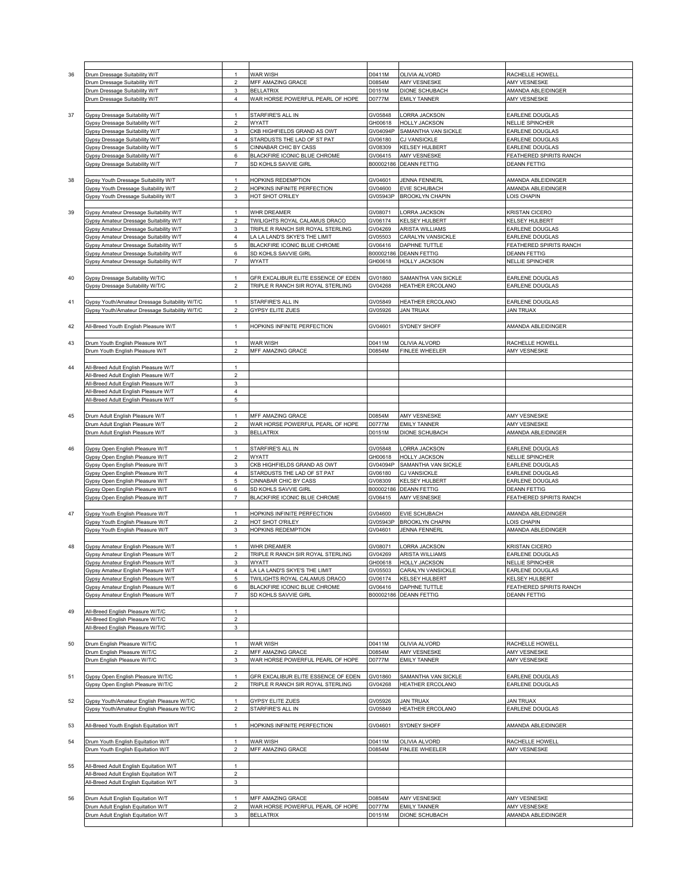| 36 | Drum Dressage Suitability W/T                  | $\mathbf{1}$     | WAR WISH                            | D0411M    | OLIVIA ALVORD           | RACHELLE HOWELL         |
|----|------------------------------------------------|------------------|-------------------------------------|-----------|-------------------------|-------------------------|
|    | Drum Dressage Suitability W/T                  | $\overline{2}$   | MFF AMAZING GRACE                   | D0854M    | AMY VESNESKE            | AMY VESNESKE            |
|    |                                                |                  |                                     |           |                         |                         |
|    | Drum Dressage Suitability W/T                  | 3                | <b>BELLATRIX</b>                    | D0151M    | DIONE SCHUBACH          | AMANDA ABLEIDINGER      |
|    | Drum Dressage Suitability W/T                  | 4                | WAR HORSE POWERFUL PEARL OF HOPE    | D0777M    | <b>EMILY TANNER</b>     | AMY VESNESKE            |
|    |                                                |                  |                                     |           |                         |                         |
| 37 |                                                | $\mathbf{1}$     | STARFIRE'S ALL IN                   | GV05848   | ORRA JACKSON            | EARLENE DOUGLAS         |
|    | Gypsy Dressage Suitability W/T                 |                  |                                     |           |                         |                         |
|    | Gypsy Dressage Suitability W/T                 | $\overline{2}$   | WYATT                               | GH00618   | <b>HOLLY JACKSON</b>    | <b>NELLIE SPINCHER</b>  |
|    | Gypsy Dressage Suitability W/T                 | 3                | CKB HIGHFIELDS GRAND AS OWT         | GV04094P  | SAMANTHA VAN SICKLE     | EARLENE DOUGLAS         |
|    | Gypsy Dressage Suitability W/T                 | 4                | STARDUSTS THE LAD OF ST PAT         | GV06180   | <b>CJ VANSICKLE</b>     | EARLENE DOUGLAS         |
|    |                                                |                  |                                     |           |                         |                         |
|    | Gypsy Dressage Suitability W/T                 | 5                | CINNABAR CHIC BY CASS               | GV08309   | KELSEY HULBERT          | EARLENE DOUGLAS         |
|    | Gypsy Dressage Suitability W/T                 | $\,6$            | BLACKFIRE ICONIC BLUE CHROME        | GV06415   | AMY VESNESKE            | FEATHERED SPIRITS RANCH |
|    |                                                | $\overline{7}$   |                                     |           |                         |                         |
|    | Gypsy Dressage Suitability W/T                 |                  | SD KOHLS SAVVIE GIRL                | B00002186 | <b>DEANN FETTIG</b>     | <b>DEANN FETTIG</b>     |
|    |                                                |                  |                                     |           |                         |                         |
| 38 | Gypsy Youth Dressage Suitability W/T           | 1                | HOPKINS REDEMPTION                  | GV04601   | JENNA FENNERL           | AMANDA ABLEIDINGER      |
|    | Gypsy Youth Dressage Suitability W/T           | $\overline{2}$   | HOPKINS INFINITE PERFECTION         | GV04600   | EVIE SCHUBACH           | AMANDA ABLEIDINGER      |
|    |                                                |                  |                                     |           |                         |                         |
|    | Gypsy Youth Dressage Suitability W/T           | 3                | HOT SHOT O'RILEY                    | GV05943P  | <b>BROOKLYN CHAPIN</b>  | OIS CHAPIN              |
|    |                                                |                  |                                     |           |                         |                         |
| 39 | Gypsy Amateur Dressage Suitability W/T         | $\mathbf{1}$     | WHR DREAMER                         | GV08071   | ORRA JACKSON            | KRISTAN CICERO          |
|    |                                                |                  |                                     |           |                         |                         |
|    | Gypsy Amateur Dressage Suitability W/T         | $\overline{2}$   | TWILIGHTS ROYAL CALAMUS DRACO       | GV06174   | KELSEY HULBERT          | KELSEY HULBERT          |
|    | Gypsy Amateur Dressage Suitability W/T         | 3                | TRIPLE R RANCH SIR ROYAL STERLING   | GV04269   | ARISTA WILLIAMS         | EARLENE DOUGLAS         |
|    | Gypsy Amateur Dressage Suitability W/T         | $\sqrt{4}$       | LA LA LAND'S SKYE'S THE LIMIT       | GV05503   | CARALYN VANSICKLE       | EARLENE DOUGLAS         |
|    |                                                |                  |                                     |           |                         |                         |
|    | Gypsy Amateur Dressage Suitability W/T         | 5                | BLACKFIRE ICONIC BLUE CHROME        | GV06416   | DAPHNE TUTTLE           | FEATHERED SPIRITS RANCH |
|    | Gypsy Amateur Dressage Suitability W/T         | 6                | SD KOHLS SAVVIE GIRL                | B00002186 | <b>DEANN FETTIG</b>     | <b>DEANN FETTIG</b>     |
|    | Gypsy Amateur Dressage Suitability W/T         | $\overline{7}$   | WYATT                               | GH00618   | <b>HOLLY JACKSON</b>    | NELLIE SPINCHER         |
|    |                                                |                  |                                     |           |                         |                         |
|    |                                                |                  |                                     |           |                         |                         |
| 40 | Gypsy Dressage Suitability W/T/C               | 1                | GFR EXCALIBUR ELITE ESSENCE OF EDEN | GV01860   | SAMANTHA VAN SICKLE     | EARLENE DOUGLAS         |
|    |                                                | $\overline{2}$   | TRIPLE R RANCH SIR ROYAL STERLING   | GV04268   | HEATHER ERCOLANO        | EARLENE DOUGLAS         |
|    | Gypsy Dressage Suitability W/T/C               |                  |                                     |           |                         |                         |
|    |                                                |                  |                                     |           |                         |                         |
| 41 | Gypsy Youth/Amateur Dressage Suitability W/T/C | 1                | STARFIRE'S ALL IN                   | GV05849   | HEATHER ERCOLANO        | EARLENE DOUGLAS         |
|    |                                                | $\overline{2}$   |                                     |           |                         |                         |
|    | Gypsy Youth/Amateur Dressage Suitability W/T/C |                  | <b>GYPSY ELITE ZUES</b>             | GV05926   | JAN TRUAX               | JAN TRUAX               |
|    |                                                |                  |                                     |           |                         |                         |
| 42 | All-Breed Youth English Pleasure W/T           | $\overline{1}$   | HOPKINS INFINITE PERFECTION         | GV04601   | SYDNEY SHOFF            | AMANDA ABLEIDINGER      |
|    |                                                |                  |                                     |           |                         |                         |
|    |                                                |                  |                                     |           |                         |                         |
| 43 | Drum Youth English Pleasure W/T                | 1                | WAR WISH                            | D0411M    | OLIVIA ALVORD           | RACHELLE HOWELL         |
|    | Drum Youth English Pleasure W/T                | $\overline{2}$   | MFF AMAZING GRACE                   | D0854M    | FINLEE WHEELER          | AMY VESNESKE            |
|    |                                                |                  |                                     |           |                         |                         |
|    |                                                |                  |                                     |           |                         |                         |
| 44 | All-Breed Adult English Pleasure W/T           | $\mathbf{1}$     |                                     |           |                         |                         |
|    | All-Breed Adult English Pleasure W/T           | $\overline{a}$   |                                     |           |                         |                         |
|    |                                                |                  |                                     |           |                         |                         |
|    | All-Breed Adult English Pleasure W/T           | 3                |                                     |           |                         |                         |
|    | All-Breed Adult English Pleasure W/T           | $\overline{4}$   |                                     |           |                         |                         |
|    | All-Breed Adult English Pleasure W/T           | $\mathbf 5$      |                                     |           |                         |                         |
|    |                                                |                  |                                     |           |                         |                         |
|    |                                                |                  |                                     |           |                         |                         |
| 45 | Drum Adult English Pleasure W/T                | $\mathbf{1}$     | MFF AMAZING GRACE                   | D0854M    | AMY VESNESKE            | AMY VESNESKE            |
|    | Drum Adult English Pleasure W/T                | $\overline{2}$   | WAR HORSE POWERFUL PEARL OF HOPE    | D0777M    | <b>EMILY TANNER</b>     | AMY VESNESKE            |
|    |                                                | 3                |                                     |           |                         |                         |
|    | Drum Adult English Pleasure W/T                |                  | <b>BELLATRIX</b>                    | D0151M    | DIONE SCHUBACH          | AMANDA ABLEIDINGER      |
|    |                                                |                  |                                     |           |                         |                         |
| 46 | Gypsy Open English Pleasure W/T                | $\mathbf{1}$     | STARFIRE'S ALL IN                   | GV05848   | ORRA JACKSON            | EARLENE DOUGLAS         |
|    | Gypsy Open English Pleasure W/T                | $\overline{a}$   | WYATT                               | GH00618   | HOLLY JACKSON           | NELLIE SPINCHER         |
|    |                                                |                  |                                     |           |                         |                         |
|    | Gypsy Open English Pleasure W/T                | 3                | CKB HIGHFIELDS GRAND AS OWT         | GV04094P  | SAMANTHA VAN SICKLE     | EARLENE DOUGLAS         |
|    | Gypsy Open English Pleasure W/T                | $\overline{4}$   | STARDUSTS THE LAD OF ST PAT         | GV06180   | CJ VANSICKLE            | EARLENE DOUGLAS         |
|    |                                                | 5                |                                     |           |                         |                         |
|    | Gypsy Open English Pleasure W/T                |                  | <b>CINNABAR CHIC BY CASS</b>        | GV08309   | KELSEY HULBERT          | EARLENE DOUGLAS         |
|    | Gypsy Open English Pleasure W/T                | 6                | SD KOHLS SAVVIE GIRL                | B00002186 | DEANN FETTIG            | <b>DEANN FETTIG</b>     |
|    | Gypsy Open English Pleasure W/T                | $\overline{7}$   | BLACKFIRE ICONIC BLUE CHROME        | GV06415   | AMY VESNESKE            | FEATHERED SPIRITS RANCH |
|    |                                                |                  |                                     |           |                         |                         |
|    |                                                |                  |                                     |           |                         |                         |
| 47 | Gypsy Youth English Pleasure W/T               | $\overline{1}$   | HOPKINS INFINITE PERFECTION         | GV04600   | <b>EVIE SCHUBACH</b>    | AMANDA ABLEIDINGER      |
|    | Gypsy Youth English Pleasure W/T               | $\sqrt{2}$       | HOT SHOT O'RILEY                    | GV05943P  | <b>BROOKLYN CHAPIN</b>  | OIS CHAPIN              |
|    |                                                | 3                |                                     | GV04601   | <b>JENNA FENNERL</b>    | AMANDA ABLEIDINGER      |
|    | Gypsy Youth English Pleasure W/T               |                  | <b>HOPKINS REDEMPTION</b>           |           |                         |                         |
|    |                                                |                  |                                     |           |                         |                         |
| 48 | Gypsy Amateur English Pleasure W/T             | $\mathbf{1}$     | WHR DREAMER                         | GV08071   | ORRA JACKSON            | KRISTAN CICERO          |
|    |                                                | $\overline{2}$   | TRIPLE R RANCH SIR ROYAL STERLING   |           |                         | EARLENE DOUGLAS         |
|    | Gypsy Amateur English Pleasure W/T             |                  |                                     | GV04269   | ARISTA WILLIAMS         |                         |
|    | Gypsy Amateur English Pleasure W/T             | $\mathbf 3$      | WYATT                               | GH00618   | HOLLY JACKSON           | NELLIE SPINCHER         |
|    | Gypsy Amateur English Pleasure W/T             | 4                | LA LA LAND'S SKYE'S THE LIMIT       | GV05503   | CARALYN VANSICKLE       | EARLENE DOUGLAS         |
|    | Gypsy Amateur English Pleasure W/T             | 5                | TWILIGHTS ROYAL CALAMUS DRACO       | GV06174   | KELSEY HULBERT          | KELSEY HULBERT          |
|    |                                                |                  |                                     |           |                         |                         |
|    | Gypsy Amateur English Pleasure W/T             | 6                | BLACKFIRE ICONIC BLUE CHROME        | GV06416   | DAPHNE TUTTLE           | FEATHERED SPIRITS RANCH |
|    | Gypsy Amateur English Pleasure W/T             | $\overline{7}$   | SD KOHLS SAVVIE GIRL                | B00002186 | <b>DEANN FETTIG</b>     | <b>DEANN FETTIG</b>     |
|    |                                                |                  |                                     |           |                         |                         |
|    |                                                | $\mathbf{1}$     |                                     |           |                         |                         |
| 49 | All-Breed English Pleasure W/T/C               |                  |                                     |           |                         |                         |
|    | All-Breed English Pleasure W/T/C               | $\boldsymbol{2}$ |                                     |           |                         |                         |
|    | All-Breed English Pleasure W/T/C               | 3                |                                     |           |                         |                         |
|    |                                                |                  |                                     |           |                         |                         |
|    |                                                |                  |                                     |           |                         |                         |
| 50 | Drum English Pleasure W/T/C                    | $\mathbf{1}$     | WAR WISH                            | D0411M    | OLIVIA ALVORD           | RACHELLE HOWELL         |
|    | Drum English Pleasure W/T/C                    | $\overline{2}$   | MFF AMAZING GRACE                   | D0854M    | AMY VESNESKE            | AMY VESNESKE            |
|    | Drum English Pleasure W/T/C                    | 3                | WAR HORSE POWERFUL PEARL OF HOPE    | D0777M    | <b>EMILY TANNER</b>     | AMY VESNESKE            |
|    |                                                |                  |                                     |           |                         |                         |
|    |                                                |                  |                                     |           |                         |                         |
| 51 | Gypsy Open English Pleasure W/T/C              | $\overline{1}$   |                                     |           |                         |                         |
|    |                                                |                  | GFR EXCALIBUR ELITE ESSENCE OF EDEN | GV01860   | SAMANTHA VAN SICKLE     | EARLENE DOUGLAS         |
|    |                                                | $\overline{2}$   | TRIPLE R RANCH SIR ROYAL STERLING   | GV04268   |                         |                         |
|    | Gypsy Open English Pleasure W/T/C              |                  |                                     |           | HEATHER ERCOLANO        | EARLENE DOUGLAS         |
| 52 |                                                |                  |                                     |           |                         |                         |
|    | Gypsy Youth/Amateur English Pleasure W/T/C     | $\overline{1}$   | GYPSY ELITE ZUES                    | GV05926   | <b>JAN TRUAX</b>        | <b>JAN TRUAX</b>        |
|    |                                                |                  |                                     |           |                         |                         |
|    | Gypsy Youth/Amateur English Pleasure W/T/C     | $\overline{a}$   | STARFIRE'S ALL IN                   | GV05849   | <b>HEATHER ERCOLANO</b> | EARLENE DOUGLAS         |
|    |                                                |                  |                                     |           |                         |                         |
| 53 | All-Breed Youth English Equitation W/T         | $\mathbf{1}$     | HOPKINS INFINITE PERFECTION         | GV04601   | SYDNEY SHOFF            | AMANDA ABLEIDINGER      |
|    |                                                |                  |                                     |           |                         |                         |
|    |                                                |                  |                                     |           |                         |                         |
| 54 | Drum Youth English Equitation W/T              | $\overline{1}$   | WAR WISH                            | D0411M    | OLIVIA ALVORD           | RACHELLE HOWELL         |
|    | Drum Youth English Equitation W/T              | $\overline{2}$   | MFF AMAZING GRACE                   | D0854M    | FINLEE WHEELER          | AMY VESNESKE            |
|    |                                                |                  |                                     |           |                         |                         |
|    |                                                |                  |                                     |           |                         |                         |
| 55 | All-Breed Adult English Equitation W/T         | $\mathbf{1}$     |                                     |           |                         |                         |
|    | All-Breed Adult English Equitation W/T         | $\overline{2}$   |                                     |           |                         |                         |
|    |                                                |                  |                                     |           |                         |                         |
|    | All-Breed Adult English Equitation W/T         | $\mathsf 3$      |                                     |           |                         |                         |
|    |                                                |                  |                                     |           |                         |                         |
| 56 | Drum Adult English Equitation W/T              |                  | MFF AMAZING GRACE                   | D0854M    | AMY VESNESKE            | AMY VESNESKE            |
|    |                                                |                  |                                     |           |                         |                         |
|    | Drum Adult English Equitation W/T              | $\sqrt{2}$       | WAR HORSE POWERFUL PEARL OF HOPE    | D0777M    | <b>EMILY TANNER</b>     | AMY VESNESKE            |
|    | Drum Adult English Equitation W/T              | 3                | <b>BELLATRIX</b>                    | D0151M    | DIONE SCHUBACH          | AMANDA ABLEIDINGER      |
|    |                                                |                  |                                     |           |                         |                         |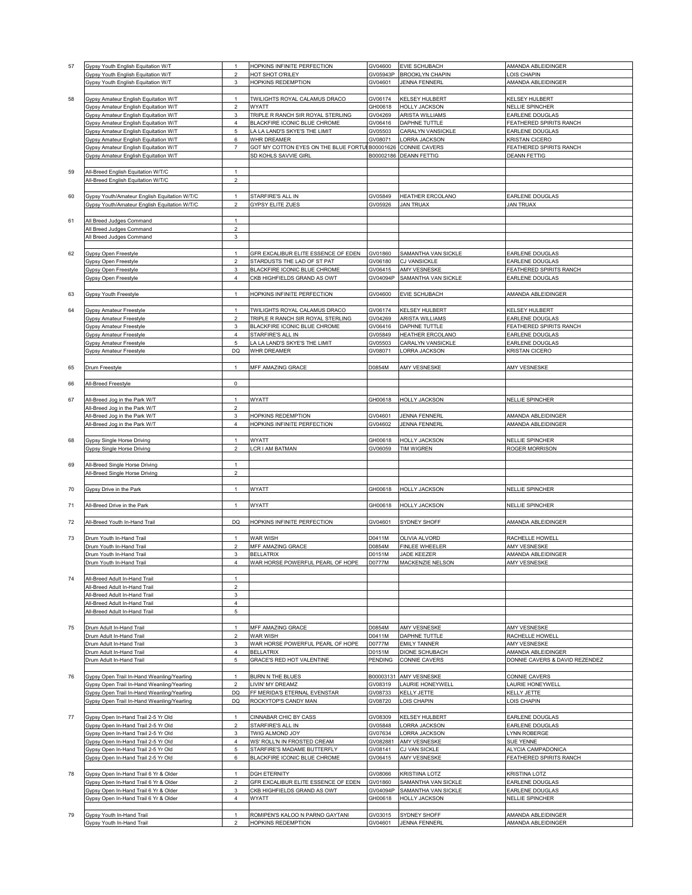| 57 | Gypsy Youth English Equitation W/T           | $\mathbf{1}$            | HOPKINS INFINITE PERFECTION                                   | GV04600  | <b>EVIE SCHUBACH</b>    | AMANDA ABLEIDINGER             |
|----|----------------------------------------------|-------------------------|---------------------------------------------------------------|----------|-------------------------|--------------------------------|
|    |                                              | $\overline{c}$          | HOT SHOT O'RILEY                                              | GV05943P | <b>BROOKLYN CHAPIN</b>  | LOIS CHAPIN                    |
|    | Gypsy Youth English Equitation W/T           |                         |                                                               |          |                         |                                |
|    | Gypsy Youth English Equitation W/T           | 3                       | HOPKINS REDEMPTION                                            | GV04601  | <b>JENNA FENNERL</b>    | AMANDA ABLEIDINGER             |
|    |                                              |                         |                                                               |          |                         |                                |
| 58 | Gypsy Amateur English Equitation W/T         |                         | TWILIGHTS ROYAL CALAMUS DRACO                                 | GV06174  | <b>KELSEY HULBERT</b>   | KELSEY HULBERT                 |
|    |                                              |                         |                                                               |          |                         |                                |
|    | Gypsy Amateur English Equitation W/T         | $\boldsymbol{2}$        | WYATT                                                         | GH00618  | <b>HOLLY JACKSON</b>    | NELLIE SPINCHER                |
|    | Gypsy Amateur English Equitation W/T         | 3                       | TRIPLE R RANCH SIR ROYAL STERLING                             | GV04269  | ARISTA WILLIAMS         | EARLENE DOUGLAS                |
|    | Gypsy Amateur English Equitation W/T         | 4                       | BLACKFIRE ICONIC BLUE CHROME                                  | GV06416  | DAPHNE TUTTLE           | FEATHERED SPIRITS RANCH        |
|    | Gypsy Amateur English Equitation W/T         | 5                       | LA LA LAND'S SKYE'S THE LIMIT                                 | GV05503  | CARALYN VANSICKLE       | EARLENE DOUGLAS                |
|    |                                              |                         |                                                               |          |                         |                                |
|    | Gypsy Amateur English Equitation W/T         | 6                       | WHR DREAMER                                                   | 3V08071  | ORRA JACKSON            | <b>KRISTAN CICERO</b>          |
|    | Gypsy Amateur English Equitation W/T         | $\overline{7}$          | GOT MY COTTON EYES ON THE BLUE FORTUI B00001626 CONNIE CAVERS |          |                         | FEATHERED SPIRITS RANCH        |
|    | Gypsy Amateur English Equitation W/T         |                         | SD KOHLS SAVVIE GIRL                                          |          | B00002186 DEANN FETTIG  | <b>DEANN FETTIG</b>            |
|    |                                              |                         |                                                               |          |                         |                                |
|    |                                              |                         |                                                               |          |                         |                                |
| 59 | All-Breed English Equitation W/T/C           | $\mathbf{1}$            |                                                               |          |                         |                                |
|    | All-Breed English Equitation W/T/C           | $\overline{c}$          |                                                               |          |                         |                                |
|    |                                              |                         |                                                               |          |                         |                                |
|    |                                              |                         |                                                               |          |                         |                                |
| 60 | Gypsy Youth/Amateur English Equitation W/T/C | $\mathbf{1}$            | STARFIRE'S ALL IN                                             | GV05849  | <b>HEATHER ERCOLANO</b> | <b>EARLENE DOUGLAS</b>         |
|    | Gypsy Youth/Amateur English Equitation W/T/C | $\sqrt{2}$              | <b>GYPSY ELITE ZUES</b>                                       | GV05926  | <b>JAN TRUAX</b>        | <b>JAN TRUAX</b>               |
|    |                                              |                         |                                                               |          |                         |                                |
| 61 | All Breed Judges Command                     | 1                       |                                                               |          |                         |                                |
|    |                                              |                         |                                                               |          |                         |                                |
|    | All Breed Judges Command                     | $\overline{\mathbf{c}}$ |                                                               |          |                         |                                |
|    | All Breed Judges Command                     | 3                       |                                                               |          |                         |                                |
|    |                                              |                         |                                                               |          |                         |                                |
| 62 | <b>Gypsy Open Freestyle</b>                  | $\mathbf{1}$            | GFR EXCALIBUR ELITE ESSENCE OF EDEN                           | GV01860  | SAMANTHA VAN SICKLE     | EARLENE DOUGLAS                |
|    |                                              |                         |                                                               |          |                         |                                |
|    | Gypsy Open Freestyle                         | $\boldsymbol{2}$        | STARDUSTS THE LAD OF ST PAT                                   | GV06180  | <b>CJ VANSICKLE</b>     | EARLENE DOUGLAS                |
|    | Gypsy Open Freestyle                         | 3                       | BLACKFIRE ICONIC BLUE CHROME                                  | GV06415  | AMY VESNESKE            | FEATHERED SPIRITS RANCH        |
|    | Gypsy Open Freestyle                         | $\pmb{4}$               | CKB HIGHFIELDS GRAND AS OWT                                   | GV04094P | SAMANTHA VAN SICKLE     | EARLENE DOUGLAS                |
|    |                                              |                         |                                                               |          |                         |                                |
|    |                                              |                         |                                                               |          |                         |                                |
| 63 | Gypsy Youth Freestyle                        | $\mathbf{1}$            | HOPKINS INFINITE PERFECTION                                   | GV04600  | <b>EVIE SCHUBACH</b>    | AMANDA ABLEIDINGER             |
|    |                                              |                         |                                                               |          |                         |                                |
| 64 | Gypsy Amateur Freestyle                      | 1                       | TWILIGHTS ROYAL CALAMUS DRACO                                 | GV06174  | <b>KELSEY HULBERT</b>   | KELSEY HULBERT                 |
|    | <b>Gypsy Amateur Freestyle</b>               | $\overline{c}$          | TRIPLE R RANCH SIR ROYAL STERLING                             | GV04269  | ARISTA WILLIAMS         | EARLENE DOUGLAS                |
|    |                                              |                         |                                                               |          |                         |                                |
|    | Gypsy Amateur Freestyle                      | 3                       | BLACKFIRE ICONIC BLUE CHROME                                  | GV06416  | DAPHNE TUTTLE           | FEATHERED SPIRITS RANCH        |
|    | <b>Gypsy Amateur Freestyle</b>               | $\overline{4}$          | STARFIRE'S ALL IN                                             | GV05849  | HEATHER ERCOLANO        | EARLENE DOUGLAS                |
|    | Gypsy Amateur Freestyle                      | 5                       | A LA LAND'S SKYE'S THE LIMIT                                  | GV05503  | CARALYN VANSICKLE       | EARLENE DOUGLAS                |
|    | <b>Gypsy Amateur Freestyle</b>               | DQ                      | WHR DREAMER                                                   | GV08071  | ORRA JACKSON            | KRISTAN CICERO                 |
|    |                                              |                         |                                                               |          |                         |                                |
|    |                                              |                         |                                                               |          |                         |                                |
| 65 | Drum Freestyle                               | $\mathbf{1}$            | <b>MFF AMAZING GRACE</b>                                      | D0854M   | AMY VESNESKE            | <b>AMY VESNESKE</b>            |
|    |                                              |                         |                                                               |          |                         |                                |
| 66 | All-Breed Freestyle                          | 0                       |                                                               |          |                         |                                |
|    |                                              |                         |                                                               |          |                         |                                |
|    |                                              |                         |                                                               |          |                         |                                |
| 67 | All-Breed Jog in the Park W/T                | $\mathbf{1}$            | WYATT                                                         | GH00618  | <b>HOLLY JACKSON</b>    | <b>NELLIE SPINCHER</b>         |
|    | All-Breed Jog in the Park W/T                | $\overline{2}$          |                                                               |          |                         |                                |
|    | All-Breed Jog in the Park W/T                | 3                       | HOPKINS REDEMPTION                                            | GV04601  | JENNA FENNERL           | AMANDA ABLEIDINGER             |
|    |                                              |                         |                                                               |          |                         |                                |
|    | All-Breed Jog in the Park W/T                | 4                       | HOPKINS INFINITE PERFECTION                                   | GV04602  | <b>JENNA FENNERL</b>    | AMANDA ABLEIDINGER             |
|    |                                              |                         |                                                               |          |                         |                                |
| 68 | <b>Gypsy Single Horse Driving</b>            | $\mathbf{1}$            | WYATT                                                         | GH00618  | <b>HOLLY JACKSON</b>    | <b>NELLIE SPINCHER</b>         |
|    | Gypsy Single Horse Driving                   | $\overline{2}$          | LCR I AM BATMAN                                               | GV06059  | <b>TIM WIGREN</b>       | ROGER MORRISON                 |
|    |                                              |                         |                                                               |          |                         |                                |
|    |                                              |                         |                                                               |          |                         |                                |
| 69 | All-Breed Single Horse Driving               | $\mathbf{1}$            |                                                               |          |                         |                                |
|    | All-Breed Single Horse Driving               | $\overline{\mathbf{c}}$ |                                                               |          |                         |                                |
|    |                                              |                         |                                                               |          |                         |                                |
|    |                                              | $\mathbf{1}$            | WYATT                                                         | GH00618  | <b>HOLLY JACKSON</b>    | NELLIE SPINCHER                |
| 70 | Gypsy Drive in the Park                      |                         |                                                               |          |                         |                                |
|    |                                              |                         |                                                               |          |                         |                                |
| 71 | All-Breed Drive in the Park                  | $\mathbf{1}$            | WYATT                                                         | GH00618  | <b>HOLLY JACKSON</b>    | NELLIE SPINCHER                |
|    |                                              |                         |                                                               |          |                         |                                |
| 72 |                                              |                         |                                                               |          |                         |                                |
|    |                                              |                         |                                                               |          |                         |                                |
|    | All-Breed Youth In-Hand Trail                | DQ                      | HOPKINS INFINITE PERFECTION                                   | GV04601  | SYDNEY SHOFF            | AMANDA ABLEIDINGER             |
| 73 |                                              |                         |                                                               |          |                         |                                |
|    | Drum Youth In-Hand Trail                     | $\mathbf{1}$            | WAR WISH                                                      | D0411M   | OLIVIA ALVORD           | RACHELLE HOWELL                |
|    | Drum Youth In-Hand Trail                     | $\overline{\mathbf{c}}$ | MFF AMAZING GRACE                                             | D0854M   | FINLEE WHEELER          | AMY VESNESKE                   |
|    |                                              |                         |                                                               |          |                         |                                |
|    | Drum Youth In-Hand Trail                     | 3                       | BELLATRIX                                                     | D0151M   | JADE KEEZER             | AMANDA ABLEIDINGER             |
|    | Drum Youth In-Hand Trail                     | $\pmb{4}$               | WAR HORSE POWERFUL PEARL OF HOPE                              | D0777M   | MACKENZIE NELSON        | AMY VESNESKE                   |
|    |                                              |                         |                                                               |          |                         |                                |
| 74 | All-Breed Adult In-Hand Trail                | $\mathbf{1}$            |                                                               |          |                         |                                |
|    | All-Breed Adult In-Hand Trail                | $\overline{a}$          |                                                               |          |                         |                                |
|    |                                              |                         |                                                               |          |                         |                                |
|    | All-Breed Adult In-Hand Trail                | 3                       |                                                               |          |                         |                                |
|    | All-Breed Adult In-Hand Trail                | $\overline{\mathbf{4}}$ |                                                               |          |                         |                                |
|    | All-Breed Adult In-Hand Trail                | 5                       |                                                               |          |                         |                                |
|    |                                              |                         |                                                               |          |                         |                                |
| 75 | Drum Adult In-Hand Trail                     | $\mathbf{1}$            | MFF AMAZING GRACE                                             | D0854M   | AMY VESNESKE            | AMY VESNESKE                   |
|    |                                              |                         |                                                               |          |                         |                                |
|    | Drum Adult In-Hand Trail                     | $\overline{\mathbf{c}}$ | <b>WAR WISH</b>                                               | D0411M   | DAPHNE TUTTLE           | RACHELLE HOWELL                |
|    | Drum Adult In-Hand Trail                     | 3                       | WAR HORSE POWERFUL PEARL OF HOPE                              | D0777M   | <b>EMILY TANNER</b>     | AMY VESNESKE                   |
|    | Drum Adult In-Hand Trail                     | $\overline{4}$          | <b>BELLATRIX</b>                                              | D0151M   | DIONE SCHUBACH          | AMANDA ABLEIDINGER             |
|    | Drum Adult In-Hand Trail                     | 5                       | GRACE'S RED HOT VALENTINE                                     | PENDING  | <b>CONNIE CAVERS</b>    | DONNIE CAVERS & DAVID REZENDEZ |
|    |                                              |                         |                                                               |          |                         |                                |
|    |                                              |                         |                                                               |          |                         |                                |
| 76 | Gypsy Open Trail In-Hand Weanling/Yearling   | 1                       | BURN N THE BLUES                                              |          | B00003131 AMY VESNESKE  | <b>CONNIE CAVERS</b>           |
|    | Gypsy Open Trail In-Hand Weanling/Yearling   | $\overline{2}$          | LIVIN' MY DREAMZ                                              | GV08319  | LAURIE HONEYWELL        | LAURIE HONEYWELL               |
|    | Gypsy Open Trail In-Hand Weanling/Yearling   | DQ                      | FF MERIDA'S ETERNAL EVENSTAR                                  | GV08733  | KELLY JETTE             | KELLY JETTE                    |
|    | Gypsy Open Trail In-Hand Weanling/Yearling   | <b>DQ</b>               | ROCKYTOP'S CANDY MAN                                          | GV08720  | LOIS CHAPIN             | LOIS CHAPIN                    |
|    |                                              |                         |                                                               |          |                         |                                |
|    |                                              |                         |                                                               |          |                         |                                |
| 77 | Gypsy Open In-Hand Trail 2-5 Yr Old          | 1                       | CINNABAR CHIC BY CASS                                         | GV08309  | KELSEY HULBERT          | EARLENE DOUGLAS                |
|    | Gypsy Open In-Hand Trail 2-5 Yr Old          | $\overline{\mathbf{c}}$ | STARFIRE'S ALL IN                                             | GV05848  | ORRA JACKSON            | EARLENE DOUGLAS                |
|    | Gypsy Open In-Hand Trail 2-5 Yr Old          | 3                       | TWIG ALMOND JOY                                               | GV07634  | ORRA JACKSON            | LYNN ROBERGE                   |
|    |                                              |                         |                                                               |          |                         |                                |
|    | Gypsy Open In-Hand Trail 2-5 Yr Old          | $\overline{4}$          | WS' ROLL'N IN FROSTED CREAM                                   | GV082881 | AMY VESNESKE            | SUE YENNE                      |
|    | Gypsy Open In-Hand Trail 2-5 Yr Old          | 5                       | STARFIRE'S MADAME BUTTERFLY                                   | GV08141  | CJ VAN SICKLE           | ALYCIA CAMPADONICA             |
|    | Gypsy Open In-Hand Trail 2-5 Yr Old          | 6                       | BLACKFIRE ICONIC BLUE CHROME                                  | GV06415  | AMY VESNESKE            | FEATHERED SPIRITS RANCH        |
|    |                                              |                         |                                                               |          |                         |                                |
| 78 | Gypsy Open In-Hand Trail 6 Yr & Older        | $\mathbf{1}$            | <b>DGH ETERNITY</b>                                           | GV08066  | <b>KRISTIINA LOTZ</b>   | <b>KRISTINA LOTZ</b>           |
|    |                                              |                         |                                                               |          |                         |                                |
|    | Gypsy Open In-Hand Trail 6 Yr & Older        | $\overline{2}$          | GFR EXCALIBUR ELITE ESSENCE OF EDEN                           | GV01860  | SAMANTHA VAN SICKLE     | EARLENE DOUGLAS                |
|    | Gypsy Open In-Hand Trail 6 Yr & Older        | 3                       | CKB HIGHFIELDS GRAND AS OWT                                   | GV04094P | SAMANTHA VAN SICKLE     | EARLENE DOUGLAS                |
|    | Gypsy Open In-Hand Trail 6 Yr & Older        | 4                       | WYATT                                                         | GH00618  | HOLLY JACKSON           | NELLIE SPINCHER                |
|    |                                              |                         |                                                               |          |                         |                                |
| 79 | Gypsy Youth In-Hand Trail                    | $\mathbf{1}$            | ROMIPEN'S KALOO N PARNO GAYTANI                               | GV03015  | SYDNEY SHOFF            | AMANDA ABLEIDINGER             |
|    | Gypsy Youth In-Hand Trail                    | $\overline{2}$          | HOPKINS REDEMPTION                                            | GV04601  | <b>JENNA FENNERL</b>    | AMANDA ABLEIDINGER             |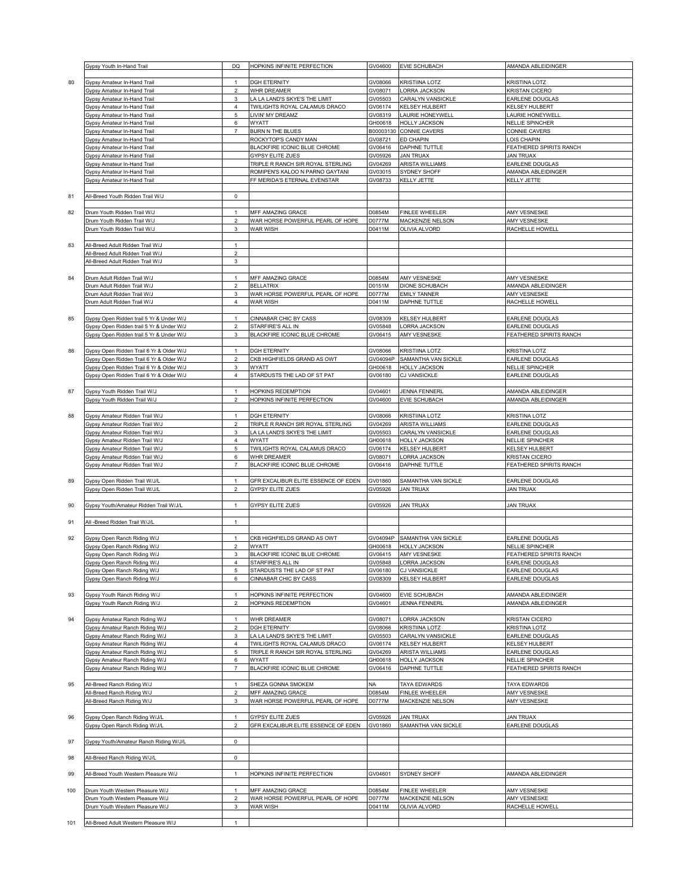|     | Gypsy Youth In-Hand Trail                | DQ                  | HOPKINS INFINITE PERFECTION         | GV04600   | EVIE SCHUBACH         | AMANDA ABLEIDINGER      |
|-----|------------------------------------------|---------------------|-------------------------------------|-----------|-----------------------|-------------------------|
|     |                                          |                     |                                     |           |                       |                         |
| 80  | Gypsy Amateur In-Hand Trail              | $\mathbf{1}$        | <b>DGH ETERNITY</b>                 | GV08066   | <b>KRISTIINA LOTZ</b> | <b>KRISTINA LOTZ</b>    |
|     | Gypsy Amateur In-Hand Trail              | $\boldsymbol{2}$    | WHR DREAMER                         | GV08071   | LORRA JACKSON         | <b>KRISTAN CICERO</b>   |
|     | Gypsy Amateur In-Hand Trail              | 3                   | LA LA LAND'S SKYE'S THE LIMIT       | GV05503   | CARALYN VANSICKLE     | EARLENE DOUGLAS         |
|     |                                          |                     |                                     |           |                       |                         |
|     | Gypsy Amateur In-Hand Trail              | $\overline{4}$      | TWILIGHTS ROYAL CALAMUS DRACO       | GV06174   | KELSEY HULBERT        | KELSEY HULBERT          |
|     | Gypsy Amateur In-Hand Trail              | 5                   | LIVIN' MY DREAMZ                    | GV08319   | AURIE HONEYWELI       | AURIE HONEYWELL         |
|     | Gypsy Amateur In-Hand Trail              | 6                   | <b>WYATT</b>                        | GH00618   | HOLLY JACKSON         | <b>NELLIE SPINCHER</b>  |
|     | Gypsy Amateur In-Hand Trail              | $\overline{7}$      | BURN N THE BLUES                    | B00003130 | CONNIE CAVERS         | CONNIE CAVERS           |
|     | Gypsy Amateur In-Hand Trail              |                     | ROCKYTOP'S CANDY MAN                | GV08721   | ED CHAPIN             | LOIS CHAPIN             |
|     | Gypsy Amateur In-Hand Trail              |                     | BLACKFIRE ICONIC BLUE CHROME        | GV06416   | DAPHNE TUTTLE         | FEATHERED SPIRITS RANCH |
|     | Gypsy Amateur In-Hand Trail              |                     | GYPSY ELITE ZUES                    | GV05926   | <b>JAN TRUAX</b>      | <b>JAN TRUAX</b>        |
|     |                                          |                     |                                     |           |                       |                         |
|     | Gypsy Amateur In-Hand Trail              |                     | TRIPLE R RANCH SIR ROYAL STERLING   | GV04269   | ARISTA WILLIAMS       | EARLENE DOUGLAS         |
|     | Gypsy Amateur In-Hand Trail              |                     | ROMIPEN'S KALOO N PARNO GAYTANI     | GV03015   | SYDNEY SHOFF          | AMANDA ABLEIDINGER      |
|     | Gypsy Amateur In-Hand Trail              |                     | FF MERIDA'S ETERNAL EVENSTAR        | GV08733   | <b>KELLY JETTE</b>    | KELLY JETTE             |
|     |                                          |                     |                                     |           |                       |                         |
| 81  | All-Breed Youth Ridden Trail W/J         | $\mathsf 0$         |                                     |           |                       |                         |
|     |                                          |                     |                                     |           |                       |                         |
| 82  | Drum Youth Ridden Trail W/J              | $\overline{1}$      | MFF AMAZING GRACE                   | D0854M    | FINLEE WHEELER        | AMY VESNESKE            |
|     |                                          |                     |                                     |           |                       |                         |
|     | Drum Youth Ridden Trail W/J              | $\mathbf 2$         | WAR HORSE POWERFUL PEARL OF HOPE    | D0777M    | MACKENZIE NELSON      | AMY VESNESKE            |
|     | Drum Youth Ridden Trail W/J              | 3                   | <b>WAR WISH</b>                     | D0411M    | <b>OLIVIA ALVORD</b>  | RACHELLE HOWELL         |
|     |                                          |                     |                                     |           |                       |                         |
| 83  | All-Breed Adult Ridden Trail W/J         | $\mathbf{1}$        |                                     |           |                       |                         |
|     | All-Breed Adult Ridden Trail W/J         | $\overline{c}$      |                                     |           |                       |                         |
|     | All-Breed Adult Ridden Trail W/J         | 3                   |                                     |           |                       |                         |
|     |                                          |                     |                                     |           |                       |                         |
|     |                                          |                     |                                     |           |                       |                         |
| 84  | Drum Adult Ridden Trail W/J              | $\mathbf{1}$        | MFF AMAZING GRACE                   | D0854M    | AMY VESNESKE          | AMY VESNESKE            |
|     | Drum Adult Ridden Trail W/J              | $\boldsymbol{2}$    | <b>BELLATRIX</b>                    | D0151M    | <b>DIONE SCHUBACH</b> | AMANDA ABLEIDINGER      |
|     | Drum Adult Ridden Trail W/J              | 3                   | WAR HORSE POWERFUL PEARL OF HOPE    | D0777M    | <b>EMILY TANNER</b>   | AMY VESNESKE            |
|     | Drum Adult Ridden Trail W/J              | $\overline{4}$      | WAR WISH                            | D0411M    | DAPHNE TUTTLE         | RACHELLE HOWELL         |
|     |                                          |                     |                                     |           |                       |                         |
| 85  | Gypsy Open Ridden trail 5 Yr & Under W/J | $\overline{1}$      | CINNABAR CHIC BY CASS               | GV08309   | KELSEY HULBERT        | EARLENE DOUGLAS         |
|     |                                          |                     |                                     |           |                       | EARLENE DOUGLAS         |
|     | Gypsy Open Ridden trail 5 Yr & Under W/J | $\mathbf 2$         | STARFIRE'S ALL IN                   | GV05848   | ORRA JACKSON          |                         |
|     | Gypsy Open Ridden trail 5 Yr & Under W/J | $\mathbf 3$         | BLACKFIRE ICONIC BLUE CHROME        | GV06415   | AMY VESNESKE          | FEATHERED SPIRITS RANCH |
|     |                                          |                     |                                     |           |                       |                         |
| 86  | Gypsy Open Ridden Trail 6 Yr & Older W/J | $\overline{1}$      | <b>DGH ETERNITY</b>                 | GV08066   | KRISTIINA LOTZ        | <b>KRISTINA LOTZ</b>    |
|     | Gypsy Open Ridden Trail 6 Yr & Older W/J | $\overline{2}$      | CKB HIGHFIELDS GRAND AS OWT         | 3V04094P  | SAMANTHA VAN SICKLE   | EARLENE DOUGLAS         |
|     | Gypsy Open Ridden Trail 6 Yr & Older W/J | $\mathbf 3$         | <b>WYATT</b>                        | GH00618   | <b>HOLLY JACKSON</b>  | <b>NELLIE SPINCHER</b>  |
|     | Gypsy Open Ridden Trail 6 Yr & Older W/J | $\overline{4}$      | STARDUSTS THE LAD OF ST PAT         | GV06180   | CJ VANSICKLE          | EARLENE DOUGLAS         |
|     |                                          |                     |                                     |           |                       |                         |
|     |                                          |                     |                                     |           |                       |                         |
| 87  | Gypsy Youth Ridden Trail W/J             | $\overline{1}$      | HOPKINS REDEMPTION                  | GV04601   | <b>JENNA FENNERL</b>  | AMANDA ABLEIDINGER      |
|     | Gypsy Youth Ridden Trail W/J             | $\overline{2}$      | HOPKINS INFINITE PERFECTION         | GV04600   | EVIE SCHUBACH         | AMANDA ABLEIDINGER      |
|     |                                          |                     |                                     |           |                       |                         |
| 88  | Gypsy Amateur Ridden Trail W/J           | $\mathbf{1}$        | <b>DGH ETERNITY</b>                 | GV08066   | KRISTIINA LOTZ        | <b>KRISTINA LOTZ</b>    |
|     | Gypsy Amateur Ridden Trail W/J           | $\overline{2}$      | TRIPLE R RANCH SIR ROYAL STERLING   | GV04269   | ARISTA WILLIAMS       | EARLENE DOUGLAS         |
|     |                                          |                     |                                     |           |                       |                         |
|     | Gypsy Amateur Ridden Trail W/J           | $\mathbf 3$         | LA LA LAND'S SKYE'S THE LIMIT       | GV05503   | CARALYN VANSICKLE     | EARLENE DOUGLAS         |
|     | Gypsy Amateur Ridden Trail W/J           | $\overline{4}$      | WYATT                               | GH00618   | HOLLY JACKSON         | NELLIE SPINCHER         |
|     | Gypsy Amateur Ridden Trail W/J           | $\mathbf 5$         | TWILIGHTS ROYAL CALAMUS DRACO       | GV06174   | <b>KELSEY HULBERT</b> | KELSEY HULBERT          |
|     | Gypsy Amateur Ridden Trail W/J           | 6                   | WHR DREAMER                         | GV08071   | ORRA JACKSON          | <b>KRISTAN CICERO</b>   |
|     | Gypsy Amateur Ridden Trail W/J           | $\overline{7}$      | BLACKFIRE ICONIC BLUE CHROME        | GV06416   | DAPHNE TUTTLE         | FEATHERED SPIRITS RANCH |
|     |                                          |                     |                                     |           |                       |                         |
|     |                                          |                     |                                     |           |                       |                         |
| 89  | Gypsy Open Ridden Trail W/J/L            | $\overline{1}$      | GFR EXCALIBUR ELITE ESSENCE OF EDEN | GV01860   | SAMANTHA VAN SICKLE   | EARLENE DOUGLAS         |
|     | Gypsy Open Ridden Trail W/J/L            | $\boldsymbol{2}$    | GYPSY ELITE ZUES                    | GV05926   | <b>JAN TRUAX</b>      | <b>JAN TRUAX</b>        |
|     |                                          |                     |                                     |           |                       |                         |
| 90  | Gypsy Youth/Amateur Ridden Trail W/J/L   | $\mathbf{1}$        | GYPSY ELITE ZUES                    | GV05926   | <b>JAN TRUAX</b>      | <b>JAN TRUAX</b>        |
|     |                                          |                     |                                     |           |                       |                         |
| 91  | All -Breed Ridden Trail W/J/L            | $\mathbf{1}$        |                                     |           |                       |                         |
|     |                                          |                     |                                     |           |                       |                         |
|     |                                          |                     |                                     |           |                       |                         |
| 92  | Gypsy Open Ranch Riding W/J              | $\mathbf{1}$        | CKB HIGHFIELDS GRAND AS OWT         | GV04094P  | SAMANTHA VAN SICKLE   | EARLENE DOUGLAS         |
|     | Gypsy Open Ranch Riding W/J              | $\overline{2}$      | <b>WYATT</b>                        | GH00618   | <b>HOLLY JACKSON</b>  | <b>NELLIE SPINCHER</b>  |
|     | Gypsy Open Ranch Riding W/J              | 3                   | BLACKFIRE ICONIC BLUE CHROME        | GV06415   | AMY VESNESKE          | FEATHERED SPIRITS RANCH |
|     | Gypsy Open Ranch Riding W/J              | $\overline{4}$      | STARFIRE'S ALL IN                   | GV05848   | LORRA JACKSON         | EARLENE DOUGLAS         |
|     | Gypsy Open Ranch Riding W/J              | 5                   | STARDUSTS THE LAD OF ST PAT         | GV06180   | <b>CJ VANSICKLE</b>   | EARLENE DOUGLAS         |
|     | Gypsy Open Ranch Riding W/J              | 6                   | CINNABAR CHIC BY CASS               | GV08309   | KELSEY HULBERT        | EARLENE DOUGLAS         |
|     |                                          |                     |                                     |           |                       |                         |
|     |                                          |                     |                                     |           | EVIE SCHUBACH         |                         |
| 93  | Gypsy Youth Ranch Riding W/J             | $\mathbf{1}$        | HOPKINS INFINITE PERFECTION         | GV04600   |                       | AMANDA ABLEIDINGER      |
|     | Gypsy Youth Ranch Riding W/J             | $\overline{2}$      | HOPKINS REDEMPTION                  | GV04601   | <b>JENNA FENNERL</b>  | AMANDA ABLEIDINGER      |
|     |                                          |                     |                                     |           |                       |                         |
| 94  | Gypsy Amateur Ranch Riding W/J           | $\mathbf{1}$        | WHR DREAMER                         | GV08071   | ORRA JACKSON          | <b>KRISTAN CICERO</b>   |
|     | Gypsy Amateur Ranch Riding W/J           | $\overline{2}$      | <b>DGH ETERNITY</b>                 | GV08066   | <b>KRISTIINA LOTZ</b> | KRISTINA LOTZ           |
|     | Gypsy Amateur Ranch Riding W/J           | 3                   | LA LA LAND'S SKYE'S THE LIMIT       | GV05503   | CARALYN VANSICKLE     | EARLENE DOUGLAS         |
|     | Gypsy Amateur Ranch Riding W/J           | 4                   | TWILIGHTS ROYAL CALAMUS DRACO       | GV06174   | KELSEY HULBERT        | KELSEY HULBERT          |
|     | Gypsy Amateur Ranch Riding W/J           | $\mathbf 5$         | TRIPLE R RANCH SIR ROYAL STERLING   | GV04269   | ARISTA WILLIAMS       | EARLENE DOUGLAS         |
|     |                                          |                     | <b>WYATT</b>                        |           |                       |                         |
|     | Gypsy Amateur Ranch Riding W/J           | 6                   |                                     | GH00618   | HOLLY JACKSON         | NELLIE SPINCHER         |
|     | Gypsy Amateur Ranch Riding W/J           | $\overline{7}$      | BLACKFIRE ICONIC BLUE CHROME        | GV06416   | DAPHNE TUTTLE         | FEATHERED SPIRITS RANCH |
|     |                                          |                     |                                     |           |                       |                         |
| 95  | All-Breed Ranch Riding W/J               | $\overline{1}$      | SHEZA GONNA SMOKEM                  | NA        | TAYA EDWARDS          | TAYA EDWARDS            |
|     | All-Breed Ranch Riding W/J               | $\boldsymbol{2}$    | MFF AMAZING GRACE                   | D0854M    | FINLEE WHEELER        | AMY VESNESKE            |
|     | All-Breed Ranch Riding W/J               | $\mathsf 3$         | WAR HORSE POWERFUL PEARL OF HOPE    | D0777M    | MACKENZIE NELSON      | AMY VESNESKE            |
|     |                                          |                     |                                     |           |                       |                         |
|     |                                          |                     |                                     |           |                       |                         |
| 96  | Gypsy Open Ranch Riding W/J/L            | $\mathbf{1}$        | <b>GYPSY ELITE ZUES</b>             | GV05926   | <b>JAN TRUAX</b>      | <b>JAN TRUAX</b>        |
|     | Gypsy Open Ranch Riding W/J/L            | $\overline{2}$      | GFR EXCALIBUR ELITE ESSENCE OF EDEN | GV01860   | SAMANTHA VAN SICKLE   | EARLENE DOUGLAS         |
|     |                                          |                     |                                     |           |                       |                         |
| 97  | Gypsy Youth/Amateur Ranch Riding W/J/L   | $\mathsf{O}\xspace$ |                                     |           |                       |                         |
|     |                                          |                     |                                     |           |                       |                         |
| 98  | All-Breed Ranch Riding W/J/L             | $\mathbf 0$         |                                     |           |                       |                         |
|     |                                          |                     |                                     |           |                       |                         |
|     |                                          |                     |                                     |           |                       |                         |
| 99  | All-Breed Youth Western Pleasure W/J     | $\overline{1}$      | HOPKINS INFINITE PERFECTION         | GV04601   | SYDNEY SHOFF          | AMANDA ABLEIDINGER      |
|     |                                          |                     |                                     |           |                       |                         |
| 100 | Drum Youth Western Pleasure W/J          | $\mathbf{1}$        | MFF AMAZING GRACE                   | D0854M    | FINLEE WHEELER        | AMY VESNESKE            |
|     |                                          | $\overline{2}$      | WAR HORSE POWERFUL PEARL OF HOPE    | D0777M    | MACKENZIE NELSON      | AMY VESNESKE            |
|     |                                          |                     |                                     |           |                       |                         |
|     | Drum Youth Western Pleasure W/J          |                     |                                     |           |                       |                         |
|     | Drum Youth Western Pleasure W/J          | 3                   | WAR WISH                            | D0411M    | OLIVIA ALVORD         | RACHELLE HOWELL         |
| 101 | All-Breed Adult Western Pleasure W/J     | $\mathbf{1}$        |                                     |           |                       |                         |